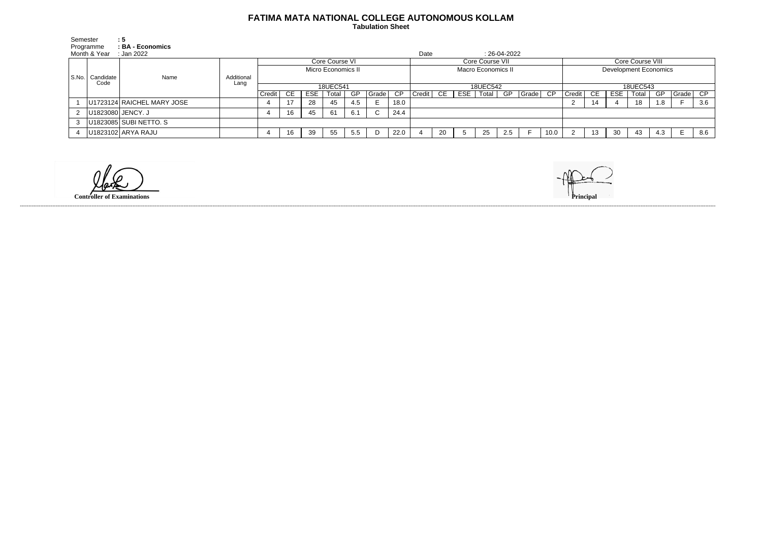## **FATIMA MATA NATIONAL COLLEGE AUTONOMOUS KOLLAM**

 **Tabulation Sheet** 

| Semester       | :5                                                  |            |                    |    |            |       |     |       |      |                    |    |     |    |     |                         |                              |                  |     |            |       |           |       |     |
|----------------|-----------------------------------------------------|------------|--------------------|----|------------|-------|-----|-------|------|--------------------|----|-----|----|-----|-------------------------|------------------------------|------------------|-----|------------|-------|-----------|-------|-----|
|                | Programme<br>: BA - Economics                       |            |                    |    |            |       |     |       |      |                    |    |     |    |     |                         |                              |                  |     |            |       |           |       |     |
|                | Month & Year<br>Date<br>$: 26-04-2022$<br>:Jan 2022 |            |                    |    |            |       |     |       |      |                    |    |     |    |     |                         |                              |                  |     |            |       |           |       |     |
|                |                                                     |            | Core Course VI     |    |            |       |     |       |      | Core Course VII    |    |     |    |     |                         |                              | Core Course VIII |     |            |       |           |       |     |
|                |                                                     |            | Micro Economics II |    |            |       |     |       |      | Macro Economics II |    |     |    |     |                         | <b>Development Economics</b> |                  |     |            |       |           |       |     |
|                | S.No.   Candidate  <br>Name<br>Code                 | Additional |                    |    |            |       |     |       |      |                    |    |     |    |     |                         |                              |                  |     |            |       |           |       |     |
|                |                                                     | Lang       | 18UEC541           |    |            |       |     |       |      | 18UEC542           |    |     |    |     |                         |                              | 18UEC543         |     |            |       |           |       |     |
|                |                                                     |            | Credit             | CE | <b>ESE</b> | Total | GP  | Grade | CP   | $Credit$ $CE$ $ $  |    | ESE |    |     | Total   GP   Grade   CP |                              | Credit           | CE. | <b>ESE</b> | Total | <b>GP</b> | Grade | CP  |
|                | U1723124 RAICHEL MARY JOSE                          |            |                    |    | 28         | 45    | 4.5 |       | 18.0 |                    |    |     |    |     |                         |                              | ∠                | 14  |            | 18    | 1.8       |       | 3.6 |
| $\mathbf{2}$   | U1823080 JENCY. J                                   |            |                    | 16 | 45         | 61    | 6.1 |       | 24.4 |                    |    |     |    |     |                         |                              |                  |     |            |       |           |       |     |
| 3 <sup>1</sup> | U1823085 SUBI NETTO. S                              |            |                    |    |            |       |     |       |      |                    |    |     |    |     |                         |                              |                  |     |            |       |           |       |     |
|                | U1823102 ARYA RAJU                                  |            |                    | 16 | 39         | 55    | 5.5 |       | 22.0 |                    | 20 |     | 25 | 2.5 |                         | 10.0                         |                  | 13  | -30        | 43    | 4.3       |       | 8.6 |

**Controller of Examinations** 



------------------------------------------------------------------------------------------------------------------------------------------------------------------------------------------------------------------------------------------------------------------------------------------------------------------------------------------------------------------------------------------------------------------------